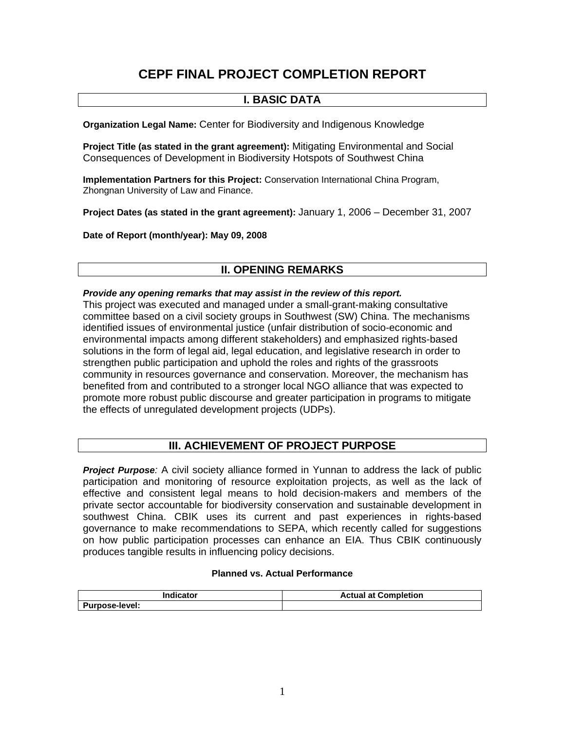# **CEPF FINAL PROJECT COMPLETION REPORT**

# **I. BASIC DATA**

**Organization Legal Name:** Center for Biodiversity and Indigenous Knowledge

**Project Title (as stated in the grant agreement):** Mitigating Environmental and Social Consequences of Development in Biodiversity Hotspots of Southwest China

**Implementation Partners for this Project:** Conservation International China Program, Zhongnan University of Law and Finance.

**Project Dates (as stated in the grant agreement):** January 1, 2006 – December 31, 2007

**Date of Report (month/year): May 09, 2008** 

## **II. OPENING REMARKS**

### *Provide any opening remarks that may assist in the review of this report.*

This project was executed and managed under a small-grant-making consultative committee based on a civil society groups in Southwest (SW) China. The mechanisms identified issues of environmental justice (unfair distribution of socio-economic and environmental impacts among different stakeholders) and emphasized rights-based solutions in the form of legal aid, legal education, and legislative research in order to strengthen public participation and uphold the roles and rights of the grassroots community in resources governance and conservation. Moreover, the mechanism has benefited from and contributed to a stronger local NGO alliance that was expected to promote more robust public discourse and greater participation in programs to mitigate the effects of unregulated development projects (UDPs).

### **III. ACHIEVEMENT OF PROJECT PURPOSE**

*Project Purpose:* A civil society alliance formed in Yunnan to address the lack of public participation and monitoring of resource exploitation projects, as well as the lack of effective and consistent legal means to hold decision-makers and members of the private sector accountable for biodiversity conservation and sustainable development in southwest China. CBIK uses its current and past experiences in rights-based governance to make recommendations to SEPA, which recently called for suggestions on how public participation processes can enhance an EIA. Thus CBIK continuously produces tangible results in influencing policy decisions.

### **Planned vs. Actual Performance**

| Indicator             | <b>Actual at Completion</b> |  |
|-----------------------|-----------------------------|--|
| <b>Purpose-level:</b> |                             |  |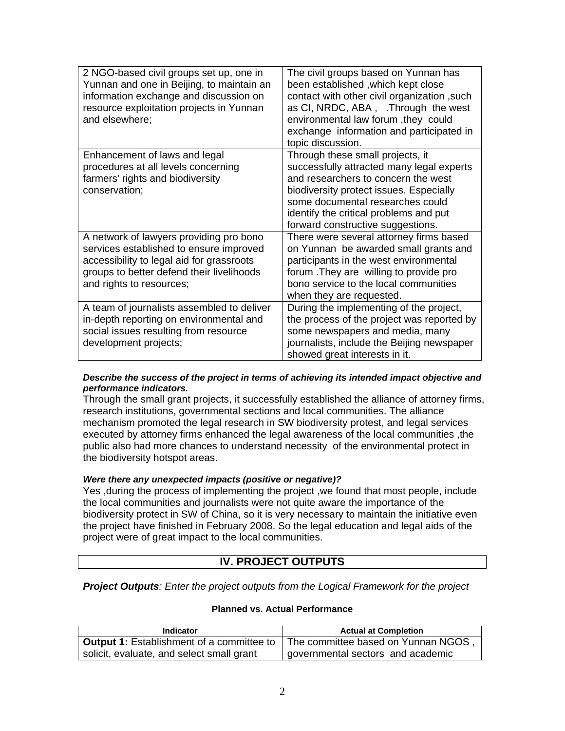| 2 NGO-based civil groups set up, one in<br>Yunnan and one in Beijing, to maintain an<br>information exchange and discussion on<br>resource exploitation projects in Yunnan<br>and elsewhere;             | The civil groups based on Yunnan has<br>been established, which kept close<br>contact with other civil organization, such<br>as CI, NRDC, ABA, .Through the west<br>environmental law forum, they could<br>exchange information and participated in<br>topic discussion.           |
|----------------------------------------------------------------------------------------------------------------------------------------------------------------------------------------------------------|------------------------------------------------------------------------------------------------------------------------------------------------------------------------------------------------------------------------------------------------------------------------------------|
| Enhancement of laws and legal<br>procedures at all levels concerning<br>farmers' rights and biodiversity<br>conservation;                                                                                | Through these small projects, it<br>successfully attracted many legal experts<br>and researchers to concern the west<br>biodiversity protect issues. Especially<br>some documental researches could<br>identify the critical problems and put<br>forward constructive suggestions. |
| A network of lawyers providing pro bono<br>services established to ensure improved<br>accessibility to legal aid for grassroots<br>groups to better defend their livelihoods<br>and rights to resources; | There were several attorney firms based<br>on Yunnan be awarded small grants and<br>participants in the west environmental<br>forum . They are willing to provide pro<br>bono service to the local communities<br>when they are requested.                                         |
| A team of journalists assembled to deliver<br>in-depth reporting on environmental and<br>social issues resulting from resource<br>development projects;                                                  | During the implementing of the project,<br>the process of the project was reported by<br>some newspapers and media, many<br>journalists, include the Beijing newspaper<br>showed great interests in it.                                                                            |

### *Describe the success of the project in terms of achieving its intended impact objective and performance indicators.*

Through the small grant projects, it successfully established the alliance of attorney firms, research institutions, governmental sections and local communities. The alliance mechanism promoted the legal research in SW biodiversity protest, and legal services executed by attorney firms enhanced the legal awareness of the local communities ,the public also had more chances to understand necessity of the environmental protect in the biodiversity hotspot areas.

### *Were there any unexpected impacts (positive or negative)?*

Yes ,during the process of implementing the project ,we found that most people, include the local communities and journalists were not quite aware the importance of the biodiversity protect in SW of China, so it is very necessary to maintain the initiative even the project have finished in February 2008. So the legal education and legal aids of the project were of great impact to the local communities.

### **IV. PROJECT OUTPUTS**

*Project Outputs: Enter the project outputs from the Logical Framework for the project* 

### **Planned vs. Actual Performance**

| <b>Indicator</b>                                 | <b>Actual at Completion</b>         |  |
|--------------------------------------------------|-------------------------------------|--|
| <b>Output 1:</b> Establishment of a committee to | The committee based on Yunnan NGOS, |  |
| solicit, evaluate, and select small grant        | governmental sectors and academic   |  |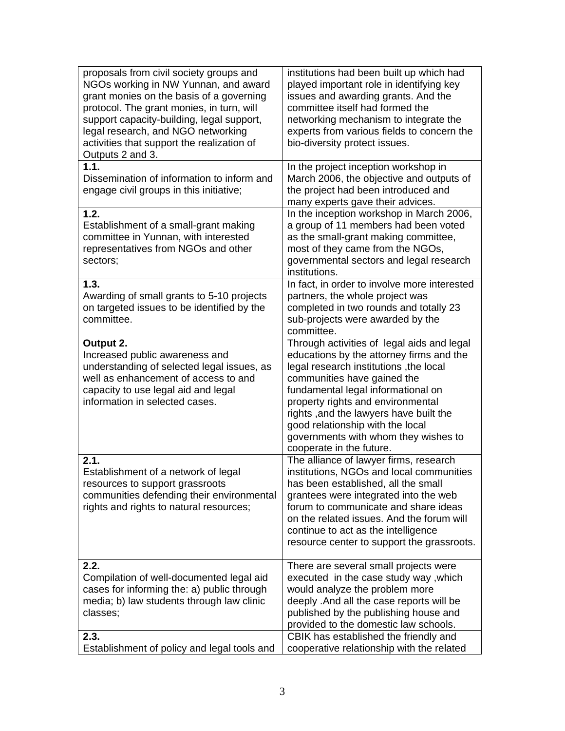| proposals from civil society groups and<br>NGOs working in NW Yunnan, and award<br>grant monies on the basis of a governing<br>protocol. The grant monies, in turn, will<br>support capacity-building, legal support,<br>legal research, and NGO networking<br>activities that support the realization of<br>Outputs 2 and 3. | institutions had been built up which had<br>played important role in identifying key<br>issues and awarding grants. And the<br>committee itself had formed the<br>networking mechanism to integrate the<br>experts from various fields to concern the<br>bio-diversity protect issues.                                                                                                        |
|-------------------------------------------------------------------------------------------------------------------------------------------------------------------------------------------------------------------------------------------------------------------------------------------------------------------------------|-----------------------------------------------------------------------------------------------------------------------------------------------------------------------------------------------------------------------------------------------------------------------------------------------------------------------------------------------------------------------------------------------|
| 1.1.<br>Dissemination of information to inform and<br>engage civil groups in this initiative;                                                                                                                                                                                                                                 | In the project inception workshop in<br>March 2006, the objective and outputs of<br>the project had been introduced and<br>many experts gave their advices.                                                                                                                                                                                                                                   |
| 1.2.<br>Establishment of a small-grant making<br>committee in Yunnan, with interested<br>representatives from NGOs and other<br>sectors;                                                                                                                                                                                      | In the inception workshop in March 2006,<br>a group of 11 members had been voted<br>as the small-grant making committee,<br>most of they came from the NGOs,<br>governmental sectors and legal research<br>institutions.                                                                                                                                                                      |
| 1.3.<br>Awarding of small grants to 5-10 projects<br>on targeted issues to be identified by the<br>committee.                                                                                                                                                                                                                 | In fact, in order to involve more interested<br>partners, the whole project was<br>completed in two rounds and totally 23<br>sub-projects were awarded by the<br>committee.                                                                                                                                                                                                                   |
| Output 2.<br>Increased public awareness and<br>understanding of selected legal issues, as<br>well as enhancement of access to and<br>capacity to use legal aid and legal<br>information in selected cases.                                                                                                                    | Through activities of legal aids and legal<br>educations by the attorney firms and the<br>legal research institutions, the local<br>communities have gained the<br>fundamental legal informational on<br>property rights and environmental<br>rights , and the lawyers have built the<br>good relationship with the local<br>governments with whom they wishes to<br>cooperate in the future. |
| 2.1.<br>Establishment of a network of legal<br>resources to support grassroots<br>communities defending their environmental<br>rights and rights to natural resources;                                                                                                                                                        | The alliance of lawyer firms, research<br>institutions, NGOs and local communities<br>has been established, all the small<br>grantees were integrated into the web<br>forum to communicate and share ideas<br>on the related issues. And the forum will<br>continue to act as the intelligence<br>resource center to support the grassroots.                                                  |
| 2.2.<br>Compilation of well-documented legal aid<br>cases for informing the: a) public through<br>media; b) law students through law clinic<br>classes;                                                                                                                                                                       | There are several small projects were<br>executed in the case study way, which<br>would analyze the problem more<br>deeply .And all the case reports will be<br>published by the publishing house and<br>provided to the domestic law schools.                                                                                                                                                |
| 2.3.<br>Establishment of policy and legal tools and                                                                                                                                                                                                                                                                           | CBIK has established the friendly and<br>cooperative relationship with the related                                                                                                                                                                                                                                                                                                            |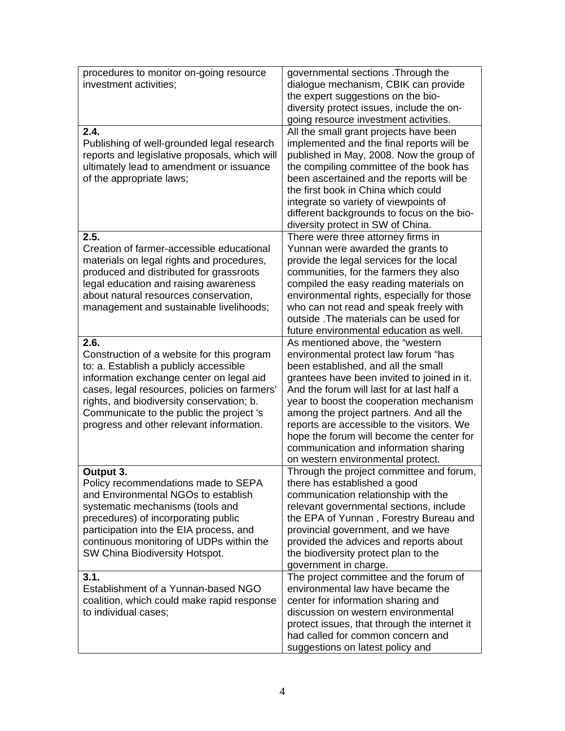| procedures to monitor on-going resource<br>investment activities;                                                                                                                                                                                                                                                             | governmental sections. Through the<br>dialogue mechanism, CBIK can provide<br>the expert suggestions on the bio-<br>diversity protect issues, include the on-<br>going resource investment activities.                                                                                                                                                                                                                                                                      |
|-------------------------------------------------------------------------------------------------------------------------------------------------------------------------------------------------------------------------------------------------------------------------------------------------------------------------------|-----------------------------------------------------------------------------------------------------------------------------------------------------------------------------------------------------------------------------------------------------------------------------------------------------------------------------------------------------------------------------------------------------------------------------------------------------------------------------|
| 2.4.<br>Publishing of well-grounded legal research<br>reports and legislative proposals, which will<br>ultimately lead to amendment or issuance<br>of the appropriate laws;                                                                                                                                                   | All the small grant projects have been<br>implemented and the final reports will be<br>published in May, 2008. Now the group of<br>the compiling committee of the book has<br>been ascertained and the reports will be<br>the first book in China which could<br>integrate so variety of viewpoints of<br>different backgrounds to focus on the bio-<br>diversity protect in SW of China.                                                                                   |
| 2.5.<br>Creation of farmer-accessible educational<br>materials on legal rights and procedures,<br>produced and distributed for grassroots<br>legal education and raising awareness<br>about natural resources conservation,<br>management and sustainable livelihoods;                                                        | There were three attorney firms in<br>Yunnan were awarded the grants to<br>provide the legal services for the local<br>communities, for the farmers they also<br>compiled the easy reading materials on<br>environmental rights, especially for those<br>who can not read and speak freely with<br>outside. The materials can be used for<br>future environmental education as well.                                                                                        |
| 2.6.<br>Construction of a website for this program<br>to: a. Establish a publicly accessible<br>information exchange center on legal aid<br>cases, legal resources, policies on farmers'<br>rights, and biodiversity conservation; b.<br>Communicate to the public the project 's<br>progress and other relevant information. | As mentioned above, the "western<br>environmental protect law forum "has<br>been established, and all the small<br>grantees have been invited to joined in it.<br>And the forum will last for at last half a<br>year to boost the cooperation mechanism<br>among the project partners. And all the<br>reports are accessible to the visitors. We<br>hope the forum will become the center for<br>communication and information sharing<br>on western environmental protect. |
| Output 3.<br>Policy recommendations made to SEPA<br>and Environmental NGOs to establish<br>systematic mechanisms (tools and<br>precedures) of incorporating public<br>participation into the EIA process, and<br>continuous monitoring of UDPs within the<br>SW China Biodiversity Hotspot.                                   | Through the project committee and forum,<br>there has established a good<br>communication relationship with the<br>relevant governmental sections, include<br>the EPA of Yunnan, Forestry Bureau and<br>provincial government, and we have<br>provided the advices and reports about<br>the biodiversity protect plan to the<br>government in charge.                                                                                                                       |
| 3.1.<br>Establishment of a Yunnan-based NGO<br>coalition, which could make rapid response<br>to individual cases;                                                                                                                                                                                                             | The project committee and the forum of<br>environmental law have became the<br>center for information sharing and<br>discussion on western environmental<br>protect issues, that through the internet it<br>had called for common concern and<br>suggestions on latest policy and                                                                                                                                                                                           |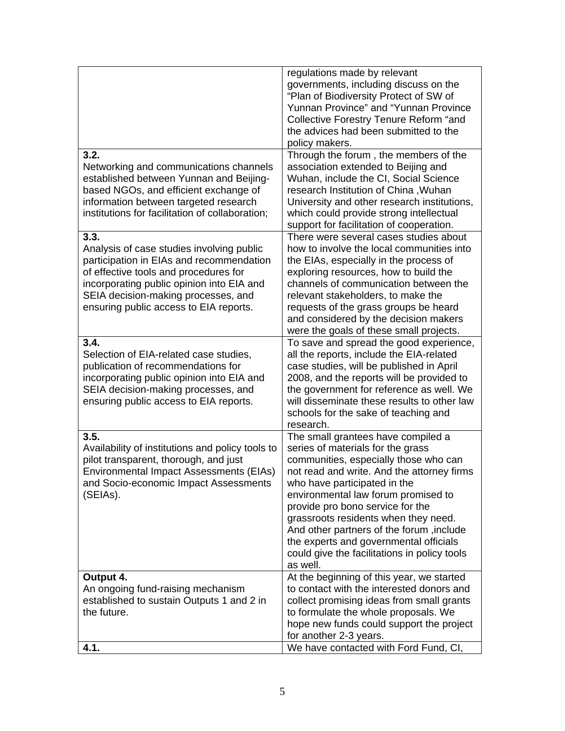|                                                  | regulations made by relevant                  |
|--------------------------------------------------|-----------------------------------------------|
|                                                  | governments, including discuss on the         |
|                                                  | "Plan of Biodiversity Protect of SW of        |
|                                                  | Yunnan Province" and "Yunnan Province         |
|                                                  | <b>Collective Forestry Tenure Reform "and</b> |
|                                                  | the advices had been submitted to the         |
|                                                  |                                               |
|                                                  | policy makers.                                |
| 3.2.                                             | Through the forum, the members of the         |
| Networking and communications channels           | association extended to Beijing and           |
| established between Yunnan and Beijing-          | Wuhan, include the CI, Social Science         |
| based NGOs, and efficient exchange of            | research Institution of China, Wuhan          |
| information between targeted research            | University and other research institutions,   |
| institutions for facilitation of collaboration;  | which could provide strong intellectual       |
|                                                  | support for facilitation of cooperation.      |
| 3.3.                                             | There were several cases studies about        |
| Analysis of case studies involving public        | how to involve the local communities into     |
| participation in EIAs and recommendation         | the EIAs, especially in the process of        |
| of effective tools and procedures for            | exploring resources, how to build the         |
| incorporating public opinion into EIA and        | channels of communication between the         |
| SEIA decision-making processes, and              | relevant stakeholders, to make the            |
|                                                  |                                               |
| ensuring public access to EIA reports.           | requests of the grass groups be heard         |
|                                                  | and considered by the decision makers         |
|                                                  | were the goals of these small projects.       |
| 3.4.                                             | To save and spread the good experience,       |
| Selection of EIA-related case studies,           | all the reports, include the EIA-related      |
| publication of recommendations for               | case studies, will be published in April      |
| incorporating public opinion into EIA and        | 2008, and the reports will be provided to     |
| SEIA decision-making processes, and              | the government for reference as well. We      |
| ensuring public access to EIA reports.           | will disseminate these results to other law   |
|                                                  | schools for the sake of teaching and          |
|                                                  | research.                                     |
| 3.5.                                             | The small grantees have compiled a            |
| Availability of institutions and policy tools to | series of materials for the grass             |
| pilot transparent, thorough, and just            | communities, especially those who can         |
| Environmental Impact Assessments (EIAs)          | not read and write. And the attorney firms    |
| and Socio-economic Impact Assessments            | who have participated in the                  |
| (SEIAs).                                         | environmental law forum promised to           |
|                                                  | provide pro bono service for the              |
|                                                  | grassroots residents when they need.          |
|                                                  | And other partners of the forum, include      |
|                                                  |                                               |
|                                                  | the experts and governmental officials        |
|                                                  | could give the facilitations in policy tools  |
|                                                  | as well.                                      |
| Output 4.                                        | At the beginning of this year, we started     |
| An ongoing fund-raising mechanism                | to contact with the interested donors and     |
| established to sustain Outputs 1 and 2 in        | collect promising ideas from small grants     |
| the future.                                      | to formulate the whole proposals. We          |
|                                                  | hope new funds could support the project      |
|                                                  | for another 2-3 years.                        |
| 4.1.                                             | We have contacted with Ford Fund, CI,         |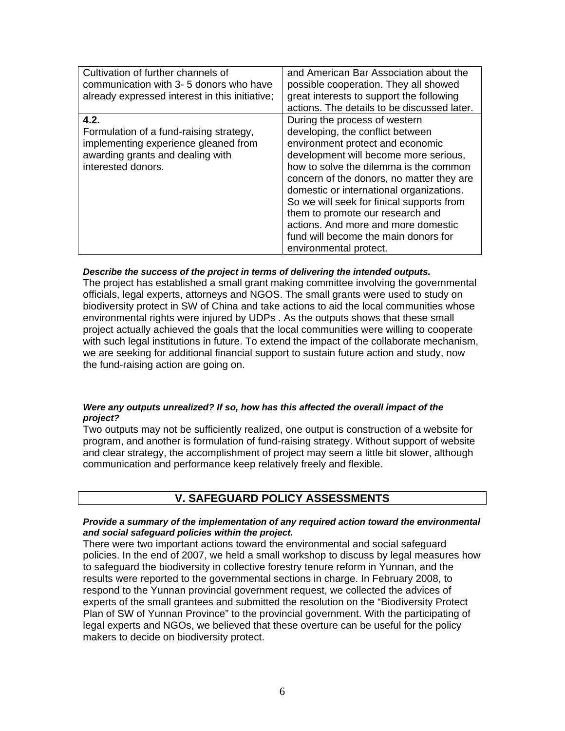| Cultivation of further channels of<br>communication with 3-5 donors who have<br>already expressed interest in this initiative;                    | and American Bar Association about the<br>possible cooperation. They all showed<br>great interests to support the following<br>actions. The details to be discussed later.                                                                                                                                                                                                                                                                                                  |
|---------------------------------------------------------------------------------------------------------------------------------------------------|-----------------------------------------------------------------------------------------------------------------------------------------------------------------------------------------------------------------------------------------------------------------------------------------------------------------------------------------------------------------------------------------------------------------------------------------------------------------------------|
| 4.2.<br>Formulation of a fund-raising strategy,<br>implementing experience gleaned from<br>awarding grants and dealing with<br>interested donors. | During the process of western<br>developing, the conflict between<br>environment protect and economic<br>development will become more serious,<br>how to solve the dilemma is the common<br>concern of the donors, no matter they are<br>domestic or international organizations.<br>So we will seek for finical supports from<br>them to promote our research and<br>actions. And more and more domestic<br>fund will become the main donors for<br>environmental protect. |

### *Describe the success of the project in terms of delivering the intended outputs.*

The project has established a small grant making committee involving the governmental officials, legal experts, attorneys and NGOS. The small grants were used to study on biodiversity protect in SW of China and take actions to aid the local communities whose environmental rights were injured by UDPs . As the outputs shows that these small project actually achieved the goals that the local communities were willing to cooperate with such legal institutions in future. To extend the impact of the collaborate mechanism, we are seeking for additional financial support to sustain future action and study, now the fund-raising action are going on.

### *Were any outputs unrealized? If so, how has this affected the overall impact of the project?*

Two outputs may not be sufficiently realized, one output is construction of a website for program, and another is formulation of fund-raising strategy. Without support of website and clear strategy, the accomplishment of project may seem a little bit slower, although communication and performance keep relatively freely and flexible.

### **V. SAFEGUARD POLICY ASSESSMENTS**

#### *Provide a summary of the implementation of any required action toward the environmental and social safeguard policies within the project.*

There were two important actions toward the environmental and social safeguard policies. In the end of 2007, we held a small workshop to discuss by legal measures how to safeguard the biodiversity in collective forestry tenure reform in Yunnan, and the results were reported to the governmental sections in charge. In February 2008, to respond to the Yunnan provincial government request, we collected the advices of experts of the small grantees and submitted the resolution on the "Biodiversity Protect Plan of SW of Yunnan Province" to the provincial government. With the participating of legal experts and NGOs, we believed that these overture can be useful for the policy makers to decide on biodiversity protect.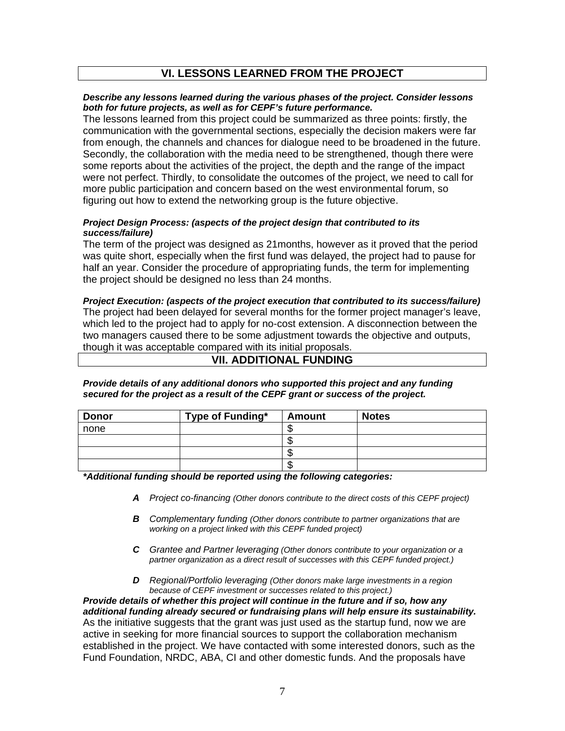### **VI. LESSONS LEARNED FROM THE PROJECT**

### *Describe any lessons learned during the various phases of the project. Consider lessons both for future projects, as well as for CEPF's future performance.*

The lessons learned from this project could be summarized as three points: firstly, the communication with the governmental sections, especially the decision makers were far from enough, the channels and chances for dialogue need to be broadened in the future. Secondly, the collaboration with the media need to be strengthened, though there were some reports about the activities of the project, the depth and the range of the impact were not perfect. Thirdly, to consolidate the outcomes of the project, we need to call for more public participation and concern based on the west environmental forum, so figuring out how to extend the networking group is the future objective.

### *Project Design Process: (aspects of the project design that contributed to its success/failure)*

The term of the project was designed as 21months, however as it proved that the period was quite short, especially when the first fund was delayed, the project had to pause for half an year. Consider the procedure of appropriating funds, the term for implementing the project should be designed no less than 24 months.

### *Project Execution: (aspects of the project execution that contributed to its success/failure)* The project had been delayed for several months for the former project manager's leave, which led to the project had to apply for no-cost extension. A disconnection between the two managers caused there to be some adjustment towards the objective and outputs, though it was acceptable compared with its initial proposals.

# **VII. ADDITIONAL FUNDING**

### *Provide details of any additional donors who supported this project and any funding secured for the project as a result of the CEPF grant or success of the project.*

| <b>Donor</b> | Type of Funding* | <b>Amount</b> | <b>Notes</b> |
|--------------|------------------|---------------|--------------|
| none         |                  |               |              |
|              |                  | - 11          |              |
|              |                  |               |              |
|              |                  | - 11          |              |

*\*Additional funding should be reported using the following categories:* 

- *A Project co-financing (Other donors contribute to the direct costs of this CEPF project)*
- *B Complementary funding (Other donors contribute to partner organizations that are working on a project linked with this CEPF funded project)*
- *C Grantee and Partner leveraging (Other donors contribute to your organization or a partner organization as a direct result of successes with this CEPF funded project.)*
- *D Regional/Portfolio leveraging (Other donors make large investments in a region because of CEPF investment or successes related to this project.)*

*Provide details of whether this project will continue in the future and if so, how any additional funding already secured or fundraising plans will help ensure its sustainability.* As the initiative suggests that the grant was just used as the startup fund, now we are active in seeking for more financial sources to support the collaboration mechanism established in the project. We have contacted with some interested donors, such as the Fund Foundation, NRDC, ABA, CI and other domestic funds. And the proposals have